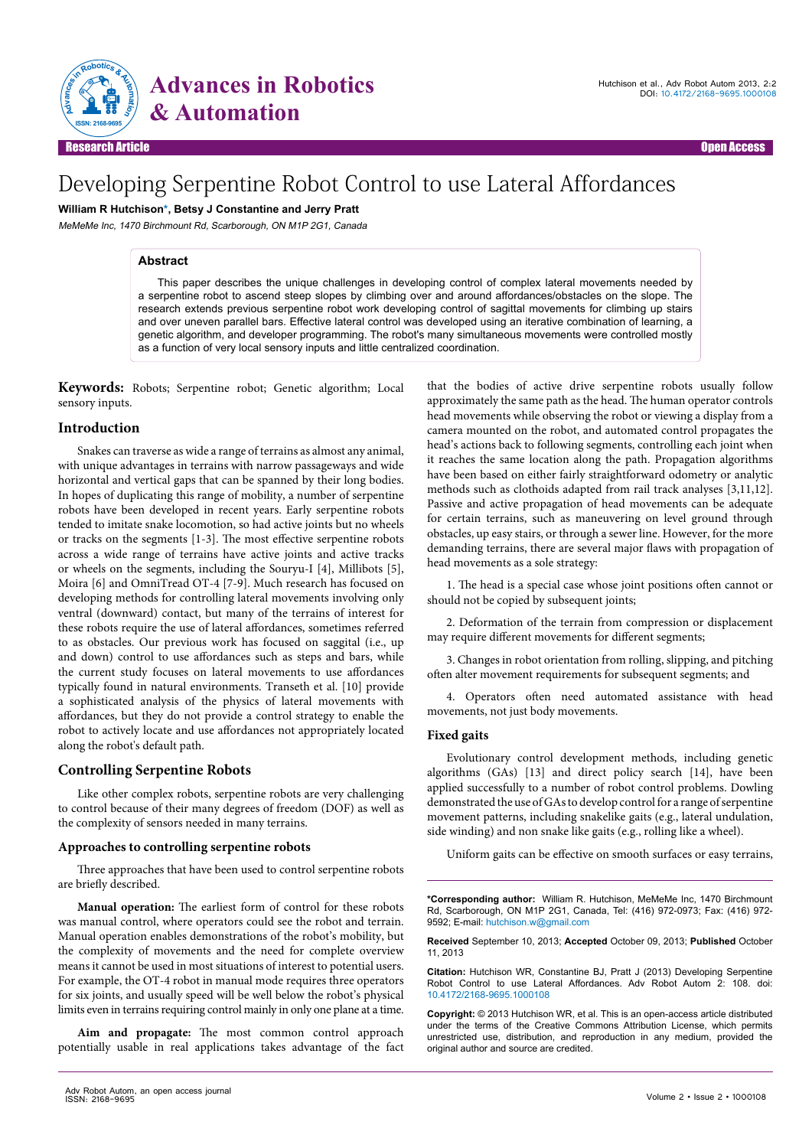

# Developing Serpentine Robot Control to use Lateral Affordances

**William R Hutchison\*, Betsy J Constantine and Jerry Pratt**

MeMeMe Inc, 1470 Birchmount Rd, Scarborough, ON M1P 2G1, Canada

# **Abstract**

This paper describes the unique challenges in developing control of complex lateral movements needed by a serpentine robot to ascend steep slopes by climbing over and around affordances/obstacles on the slope. The research extends previous serpentine robot work developing control of sagittal movements for climbing up stairs and over uneven parallel bars. Effective lateral control was developed using an iterative combination of learning, a genetic algorithm, and developer programming. The robot's many simultaneous movements were controlled mostly as a function of very local sensory inputs and little centralized coordination.

**Keywords:** Robots; Serpentine robot; Genetic algorithm; Local sensory inputs.

#### **Introduction**

Snakes can traverse as wide a range of terrains as almost any animal, with unique advantages in terrains with narrow passageways and wide horizontal and vertical gaps that can be spanned by their long bodies. In hopes of duplicating this range of mobility, a number of serpentine robots have been developed in recent years. Early serpentine robots tended to imitate snake locomotion, so had active joints but no wheels or tracks on the segments [1-3]. The most effective serpentine robots across a wide range of terrains have active joints and active tracks or wheels on the segments, including the Souryu-I [4], Millibots [5], Moira [6] and OmniTread OT-4 [7-9]. Much research has focused on developing methods for controlling lateral movements involving only ventral (downward) contact, but many of the terrains of interest for these robots require the use of lateral affordances, sometimes referred to as obstacles. Our previous work has focused on saggital (i.e., up and down) control to use affordances such as steps and bars, while the current study focuses on lateral movements to use affordances typically found in natural environments. Transeth et al. [10] provide a sophisticated analysis of the physics of lateral movements with affordances, but they do not provide a control strategy to enable the robot to actively locate and use affordances not appropriately located along the robot's default path.

# **Controlling Serpentine Robots**

Like other complex robots, serpentine robots are very challenging to control because of their many degrees of freedom (DOF) as well as the complexity of sensors needed in many terrains.

# **Approaches to controlling serpentine robots**

Three approaches that have been used to control serpentine robots are briefly described.

**Manual operation:** The earliest form of control for these robots was manual control, where operators could see the robot and terrain. Manual operation enables demonstrations of the robot's mobility, but the complexity of movements and the need for complete overview means it cannot be used in most situations of interest to potential users. For example, the OT-4 robot in manual mode requires three operators for six joints, and usually speed will be well below the robot's physical limits even in terrains requiring control mainly in only one plane at a time.

**Aim and propagate:** The most common control approach potentially usable in real applications takes advantage of the fact that the bodies of active drive serpentine robots usually follow approximately the same path as the head. The human operator controls head movements while observing the robot or viewing a display from a camera mounted on the robot, and automated control propagates the head's actions back to following segments, controlling each joint when it reaches the same location along the path. Propagation algorithms have been based on either fairly straightforward odometry or analytic methods such as clothoids adapted from rail track analyses [3,11,12]. Passive and active propagation of head movements can be adequate for certain terrains, such as maneuvering on level ground through obstacles, up easy stairs, or through a sewer line. However, for the more demanding terrains, there are several major flaws with propagation of head movements as a sole strategy:

1. The head is a special case whose joint positions often cannot or should not be copied by subsequent joints;

2. Deformation of the terrain from compression or displacement may require different movements for different segments;

3. Changes in robot orientation from rolling, slipping, and pitching often alter movement requirements for subsequent segments; and

4. Operators often need automated assistance with head movements, not just body movements.

#### **Fixed gaits**

Evolutionary control development methods, including genetic algorithms (GAs) [13] and direct policy search [14], have been applied successfully to a number of robot control problems. Dowling demonstrated the use of GAs to develop control for a range of serpentine movement patterns, including snakelike gaits (e.g., lateral undulation, side winding) and non snake like gaits (e.g., rolling like a wheel).

Uniform gaits can be effective on smooth surfaces or easy terrains,

**\*Corresponding author:** William R. Hutchison, MeMeMe Inc, 1470 Birchmount Rd, Scarborough, ON M1P 2G1, Canada, Tel: (416) 972-0973; Fax: (416) 972- 9592; E-mail: hutchison.w@gmail.com

**Received** September 10, 2013; **Accepted** October 09, 2013; **Published** October 11, 2013

**Citation:** Hutchison WR, Constantine BJ, Pratt J (2013) Developing Serpentine Robot Control to use Lateral Affordances. Adv Robot Autom 2: 108. doi: 10.4172/2168-9695.1000108

**Copyright:** © 2013 Hutchison WR, et al. This is an open-access article distributed under the terms of the Creative Commons Attribution License, which permits unrestricted use, distribution, and reproduction in any medium, provided the original author and source are credited.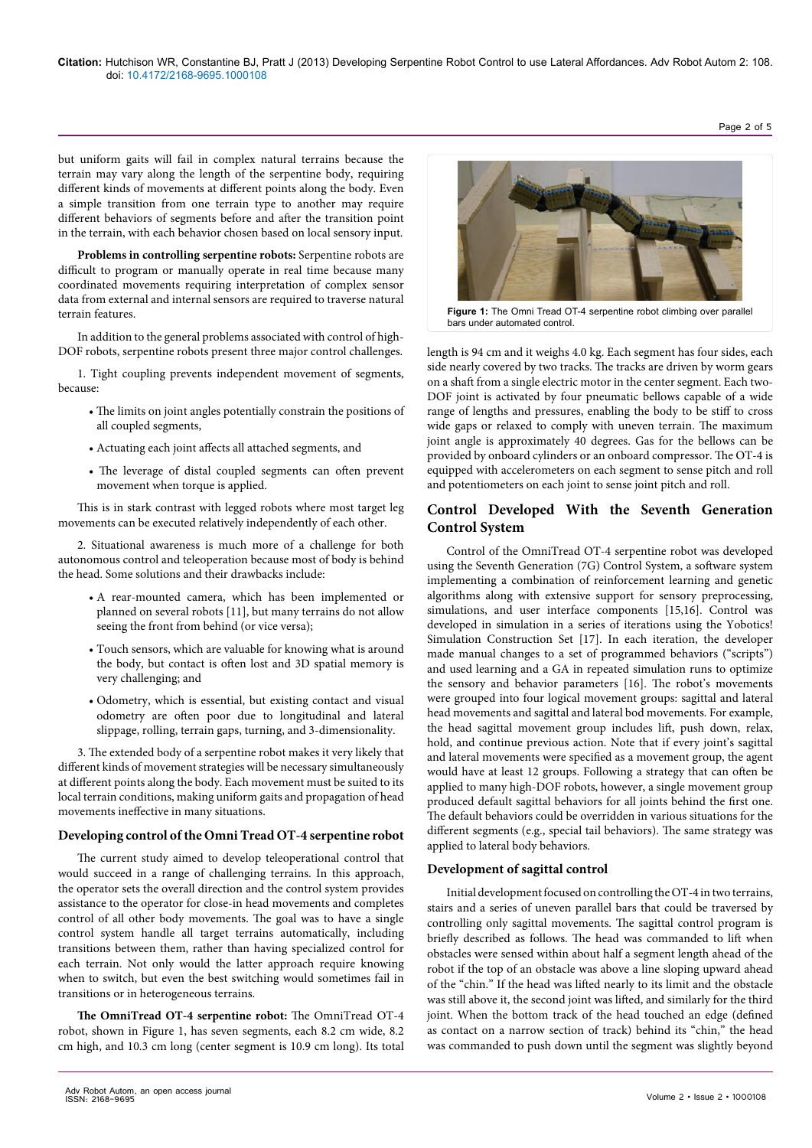but uniform gaits will fail in complex natural terrains because the terrain may vary along the length of the serpentine body, requiring different kinds of movements at different points along the body. Even a simple transition from one terrain type to another may require different behaviors of segments before and after the transition point in the terrain, with each behavior chosen based on local sensory input.

**Problems in controlling serpentine robots:** Serpentine robots are difficult to program or manually operate in real time because many coordinated movements requiring interpretation of complex sensor data from external and internal sensors are required to traverse natural terrain features.

In addition to the general problems associated with control of high-DOF robots, serpentine robots present three major control challenges.

1. Tight coupling prevents independent movement of segments, because:

- The limits on joint angles potentially constrain the positions of all coupled segments,
- Actuating each joint affects all attached segments, and
- The leverage of distal coupled segments can often prevent movement when torque is applied.

This is in stark contrast with legged robots where most target leg movements can be executed relatively independently of each other.

2. Situational awareness is much more of a challenge for both autonomous control and teleoperation because most of body is behind the head. Some solutions and their drawbacks include:

- A rear-mounted camera, which has been implemented or planned on several robots [11], but many terrains do not allow seeing the front from behind (or vice versa);
- Touch sensors, which are valuable for knowing what is around the body, but contact is often lost and 3D spatial memory is very challenging; and
- Odometry, which is essential, but existing contact and visual odometry are often poor due to longitudinal and lateral slippage, rolling, terrain gaps, turning, and 3-dimensionality.

3. The extended body of a serpentine robot makes it very likely that different kinds of movement strategies will be necessary simultaneously at different points along the body. Each movement must be suited to its local terrain conditions, making uniform gaits and propagation of head movements ineffective in many situations.

# **Developing control of the Omni Tread OT-4 serpentine robot**

The current study aimed to develop teleoperational control that would succeed in a range of challenging terrains. In this approach, the operator sets the overall direction and the control system provides assistance to the operator for close-in head movements and completes control of all other body movements. The goal was to have a single control system handle all target terrains automatically, including transitions between them, rather than having specialized control for each terrain. Not only would the latter approach require knowing when to switch, but even the best switching would sometimes fail in transitions or in heterogeneous terrains.

**The OmniTread OT-4 serpentine robot:** The OmniTread OT-4 robot, shown in Figure 1, has seven segments, each 8.2 cm wide, 8.2 cm high, and 10.3 cm long (center segment is 10.9 cm long). Its total



**Figure 1:** The Omni Tread OT-4 serpentine robot climbing over parallel bars under automated control.

length is 94 cm and it weighs 4.0 kg. Each segment has four sides, each side nearly covered by two tracks. The tracks are driven by worm gears on a shaft from a single electric motor in the center segment. Each two-DOF joint is activated by four pneumatic bellows capable of a wide range of lengths and pressures, enabling the body to be stiff to cross wide gaps or relaxed to comply with uneven terrain. The maximum joint angle is approximately 40 degrees. Gas for the bellows can be provided by onboard cylinders or an onboard compressor. The OT-4 is equipped with accelerometers on each segment to sense pitch and roll and potentiometers on each joint to sense joint pitch and roll.

# **Control Developed With the Seventh Generation Control System**

Control of the OmniTread OT-4 serpentine robot was developed using the Seventh Generation (7G) Control System, a software system implementing a combination of reinforcement learning and genetic algorithms along with extensive support for sensory preprocessing, simulations, and user interface components [15,16]. Control was developed in simulation in a series of iterations using the Yobotics! Simulation Construction Set [17]. In each iteration, the developer made manual changes to a set of programmed behaviors ("scripts") and used learning and a GA in repeated simulation runs to optimize the sensory and behavior parameters [16]. The robot's movements were grouped into four logical movement groups: sagittal and lateral head movements and sagittal and lateral bod movements. For example, the head sagittal movement group includes lift, push down, relax, hold, and continue previous action. Note that if every joint's sagittal and lateral movements were specified as a movement group, the agent would have at least 12 groups. Following a strategy that can often be applied to many high-DOF robots, however, a single movement group produced default sagittal behaviors for all joints behind the first one. The default behaviors could be overridden in various situations for the different segments (e.g., special tail behaviors). The same strategy was applied to lateral body behaviors.

# **Development of sagittal control**

Initial development focused on controlling the OT-4 in two terrains, stairs and a series of uneven parallel bars that could be traversed by controlling only sagittal movements. The sagittal control program is briefly described as follows. The head was commanded to lift when obstacles were sensed within about half a segment length ahead of the robot if the top of an obstacle was above a line sloping upward ahead of the "chin." If the head was lifted nearly to its limit and the obstacle was still above it, the second joint was lifted, and similarly for the third joint. When the bottom track of the head touched an edge (defined as contact on a narrow section of track) behind its "chin," the head was commanded to push down until the segment was slightly beyond

Page 2 of 5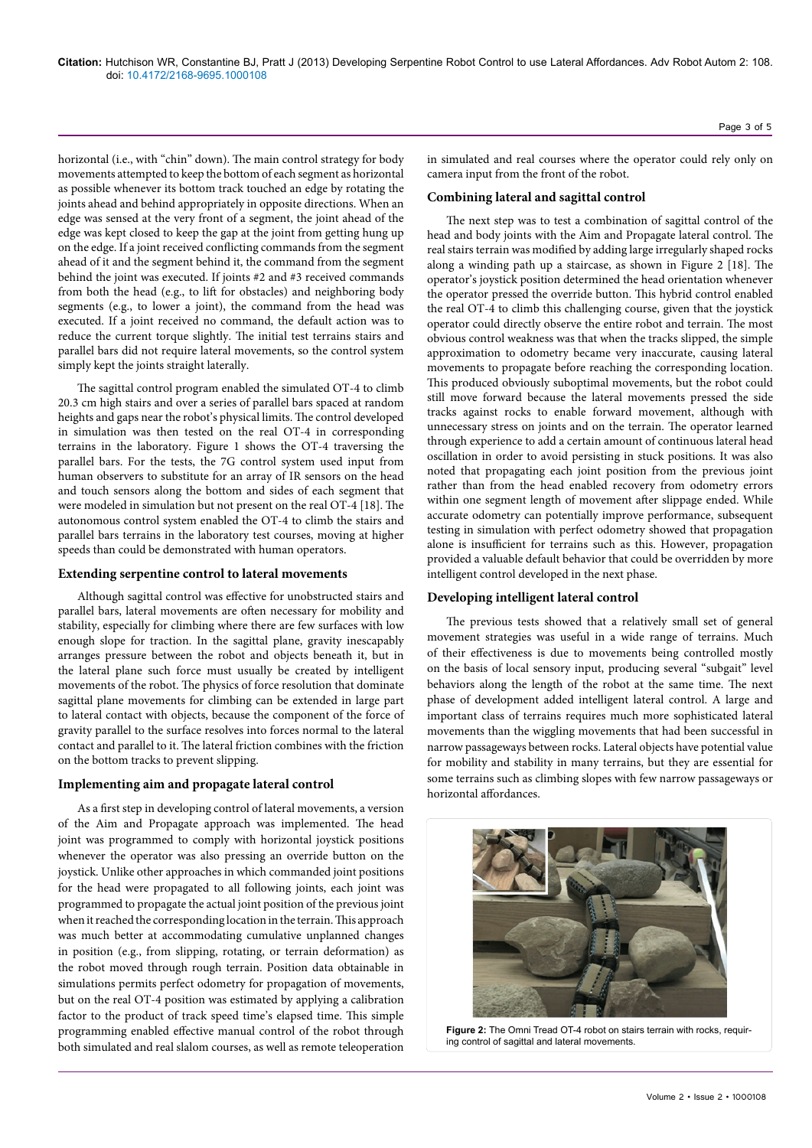horizontal (i.e., with "chin" down). The main control strategy for body movements attempted to keep the bottom of each segment as horizontal as possible whenever its bottom track touched an edge by rotating the joints ahead and behind appropriately in opposite directions. When an edge was sensed at the very front of a segment, the joint ahead of the edge was kept closed to keep the gap at the joint from getting hung up on the edge. If a joint received conflicting commands from the segment ahead of it and the segment behind it, the command from the segment behind the joint was executed. If joints #2 and #3 received commands from both the head (e.g., to lift for obstacles) and neighboring body segments (e.g., to lower a joint), the command from the head was executed. If a joint received no command, the default action was to reduce the current torque slightly. The initial test terrains stairs and parallel bars did not require lateral movements, so the control system simply kept the joints straight laterally.

The sagittal control program enabled the simulated OT-4 to climb 20.3 cm high stairs and over a series of parallel bars spaced at random heights and gaps near the robot's physical limits. The control developed in simulation was then tested on the real OT-4 in corresponding terrains in the laboratory. Figure 1 shows the OT-4 traversing the parallel bars. For the tests, the 7G control system used input from human observers to substitute for an array of IR sensors on the head and touch sensors along the bottom and sides of each segment that were modeled in simulation but not present on the real OT-4 [18]. The autonomous control system enabled the OT-4 to climb the stairs and parallel bars terrains in the laboratory test courses, moving at higher speeds than could be demonstrated with human operators.

## **Extending serpentine control to lateral movements**

Although sagittal control was effective for unobstructed stairs and parallel bars, lateral movements are often necessary for mobility and stability, especially for climbing where there are few surfaces with low enough slope for traction. In the sagittal plane, gravity inescapably arranges pressure between the robot and objects beneath it, but in the lateral plane such force must usually be created by intelligent movements of the robot. The physics of force resolution that dominate sagittal plane movements for climbing can be extended in large part to lateral contact with objects, because the component of the force of gravity parallel to the surface resolves into forces normal to the lateral contact and parallel to it. The lateral friction combines with the friction on the bottom tracks to prevent slipping.

#### **Implementing aim and propagate lateral control**

As a first step in developing control of lateral movements, a version of the Aim and Propagate approach was implemented. The head joint was programmed to comply with horizontal joystick positions whenever the operator was also pressing an override button on the joystick. Unlike other approaches in which commanded joint positions for the head were propagated to all following joints, each joint was programmed to propagate the actual joint position of the previous joint when it reached the corresponding location in the terrain. This approach was much better at accommodating cumulative unplanned changes in position (e.g., from slipping, rotating, or terrain deformation) as the robot moved through rough terrain. Position data obtainable in simulations permits perfect odometry for propagation of movements, but on the real OT-4 position was estimated by applying a calibration factor to the product of track speed time's elapsed time. This simple programming enabled effective manual control of the robot through both simulated and real slalom courses, as well as remote teleoperation

in simulated and real courses where the operator could rely only on camera input from the front of the robot.

#### **Combining lateral and sagittal control**

The next step was to test a combination of sagittal control of the head and body joints with the Aim and Propagate lateral control. The real stairs terrain was modified by adding large irregularly shaped rocks along a winding path up a staircase, as shown in Figure 2 [18]. The operator's joystick position determined the head orientation whenever the operator pressed the override button. This hybrid control enabled the real OT-4 to climb this challenging course, given that the joystick operator could directly observe the entire robot and terrain. The most obvious control weakness was that when the tracks slipped, the simple approximation to odometry became very inaccurate, causing lateral movements to propagate before reaching the corresponding location. This produced obviously suboptimal movements, but the robot could still move forward because the lateral movements pressed the side tracks against rocks to enable forward movement, although with unnecessary stress on joints and on the terrain. The operator learned through experience to add a certain amount of continuous lateral head oscillation in order to avoid persisting in stuck positions. It was also noted that propagating each joint position from the previous joint rather than from the head enabled recovery from odometry errors within one segment length of movement after slippage ended. While accurate odometry can potentially improve performance, subsequent testing in simulation with perfect odometry showed that propagation alone is insufficient for terrains such as this. However, propagation provided a valuable default behavior that could be overridden by more intelligent control developed in the next phase.

## **Developing intelligent lateral control**

The previous tests showed that a relatively small set of general movement strategies was useful in a wide range of terrains. Much of their effectiveness is due to movements being controlled mostly on the basis of local sensory input, producing several "subgait" level behaviors along the length of the robot at the same time. The next phase of development added intelligent lateral control. A large and important class of terrains requires much more sophisticated lateral movements than the wiggling movements that had been successful in narrow passageways between rocks. Lateral objects have potential value for mobility and stability in many terrains, but they are essential for some terrains such as climbing slopes with few narrow passageways or horizontal affordances.



**Figure 2:** The Omni Tread OT-4 robot on stairs terrain with rocks, requiring control of sagittal and lateral movements.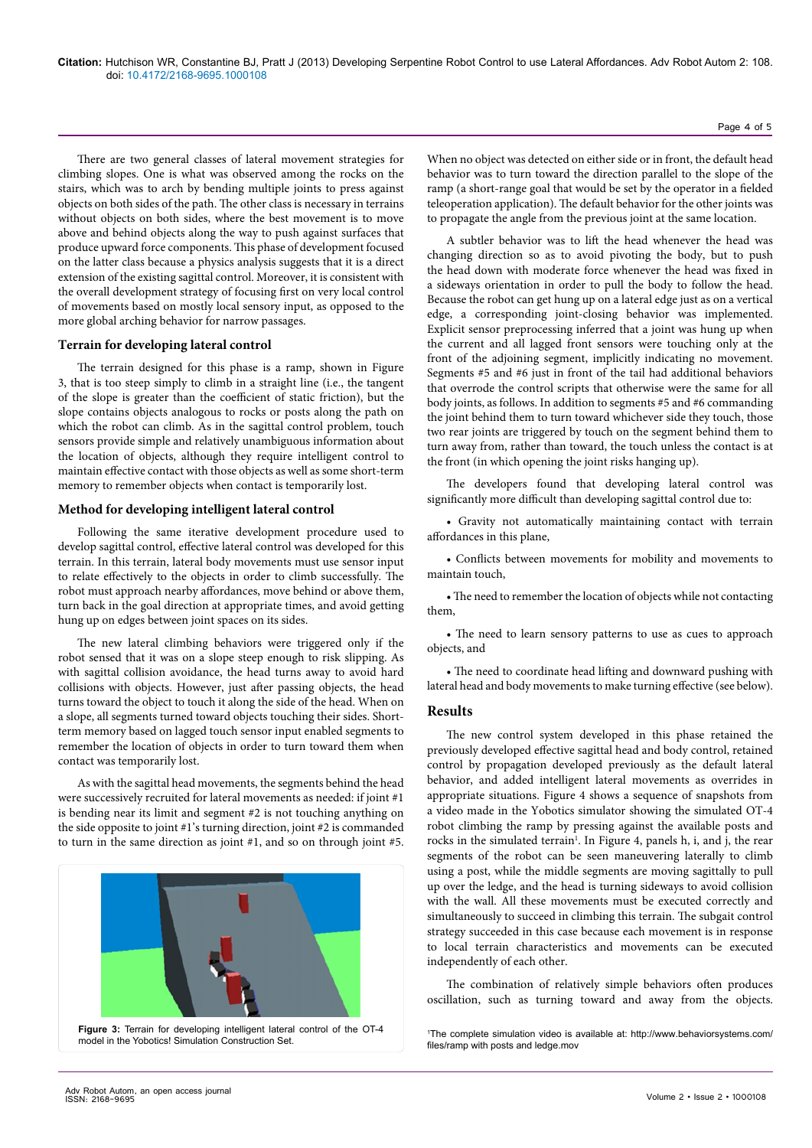There are two general classes of lateral movement strategies for climbing slopes. One is what was observed among the rocks on the stairs, which was to arch by bending multiple joints to press against objects on both sides of the path. The other class is necessary in terrains without objects on both sides, where the best movement is to move above and behind objects along the way to push against surfaces that produce upward force components. This phase of development focused on the latter class because a physics analysis suggests that it is a direct extension of the existing sagittal control. Moreover, it is consistent with the overall development strategy of focusing first on very local control of movements based on mostly local sensory input, as opposed to the more global arching behavior for narrow passages.

## **Terrain for developing lateral control**

The terrain designed for this phase is a ramp, shown in Figure 3, that is too steep simply to climb in a straight line (i.e., the tangent of the slope is greater than the coefficient of static friction), but the slope contains objects analogous to rocks or posts along the path on which the robot can climb. As in the sagittal control problem, touch sensors provide simple and relatively unambiguous information about the location of objects, although they require intelligent control to maintain effective contact with those objects as well as some short-term memory to remember objects when contact is temporarily lost.

## **Method for developing intelligent lateral control**

Following the same iterative development procedure used to develop sagittal control, effective lateral control was developed for this terrain. In this terrain, lateral body movements must use sensor input to relate effectively to the objects in order to climb successfully. The robot must approach nearby affordances, move behind or above them, turn back in the goal direction at appropriate times, and avoid getting hung up on edges between joint spaces on its sides.

The new lateral climbing behaviors were triggered only if the robot sensed that it was on a slope steep enough to risk slipping. As with sagittal collision avoidance, the head turns away to avoid hard collisions with objects. However, just after passing objects, the head turns toward the object to touch it along the side of the head. When on a slope, all segments turned toward objects touching their sides. Shortterm memory based on lagged touch sensor input enabled segments to remember the location of objects in order to turn toward them when contact was temporarily lost.

As with the sagittal head movements, the segments behind the head were successively recruited for lateral movements as needed: if joint #1 is bending near its limit and segment #2 is not touching anything on the side opposite to joint #1's turning direction, joint #2 is commanded to turn in the same direction as joint #1, and so on through joint #5.



When no object was detected on either side or in front, the default head behavior was to turn toward the direction parallel to the slope of the ramp (a short-range goal that would be set by the operator in a fielded teleoperation application). The default behavior for the other joints was to propagate the angle from the previous joint at the same location.

A subtler behavior was to lift the head whenever the head was changing direction so as to avoid pivoting the body, but to push the head down with moderate force whenever the head was fixed in a sideways orientation in order to pull the body to follow the head. Because the robot can get hung up on a lateral edge just as on a vertical edge, a corresponding joint-closing behavior was implemented. Explicit sensor preprocessing inferred that a joint was hung up when the current and all lagged front sensors were touching only at the front of the adjoining segment, implicitly indicating no movement. Segments #5 and #6 just in front of the tail had additional behaviors that overrode the control scripts that otherwise were the same for all body joints, as follows. In addition to segments #5 and #6 commanding the joint behind them to turn toward whichever side they touch, those two rear joints are triggered by touch on the segment behind them to turn away from, rather than toward, the touch unless the contact is at the front (in which opening the joint risks hanging up).

The developers found that developing lateral control was significantly more difficult than developing sagittal control due to:

• Gravity not automatically maintaining contact with terrain affordances in this plane,

• Conflicts between movements for mobility and movements to maintain touch,

• The need to remember the location of objects while not contacting them,

• The need to learn sensory patterns to use as cues to approach objects, and

• The need to coordinate head lifting and downward pushing with lateral head and body movements to make turning effective (see below).

# **Results**

The new control system developed in this phase retained the previously developed effective sagittal head and body control, retained control by propagation developed previously as the default lateral behavior, and added intelligent lateral movements as overrides in appropriate situations. Figure 4 shows a sequence of snapshots from a video made in the Yobotics simulator showing the simulated OT-4 robot climbing the ramp by pressing against the available posts and rocks in the simulated terrain<sup>1</sup>. In Figure 4, panels h, i, and j, the rear segments of the robot can be seen maneuvering laterally to climb using a post, while the middle segments are moving sagittally to pull up over the ledge, and the head is turning sideways to avoid collision with the wall. All these movements must be executed correctly and simultaneously to succeed in climbing this terrain. The subgait control strategy succeeded in this case because each movement is in response to local terrain characteristics and movements can be executed independently of each other.

The combination of relatively simple behaviors often produces oscillation, such as turning toward and away from the objects.

<sup>1</sup>The complete simulation video is available at: http://www.behaviorsystems.com/ files/ramp with posts and ledge.mov